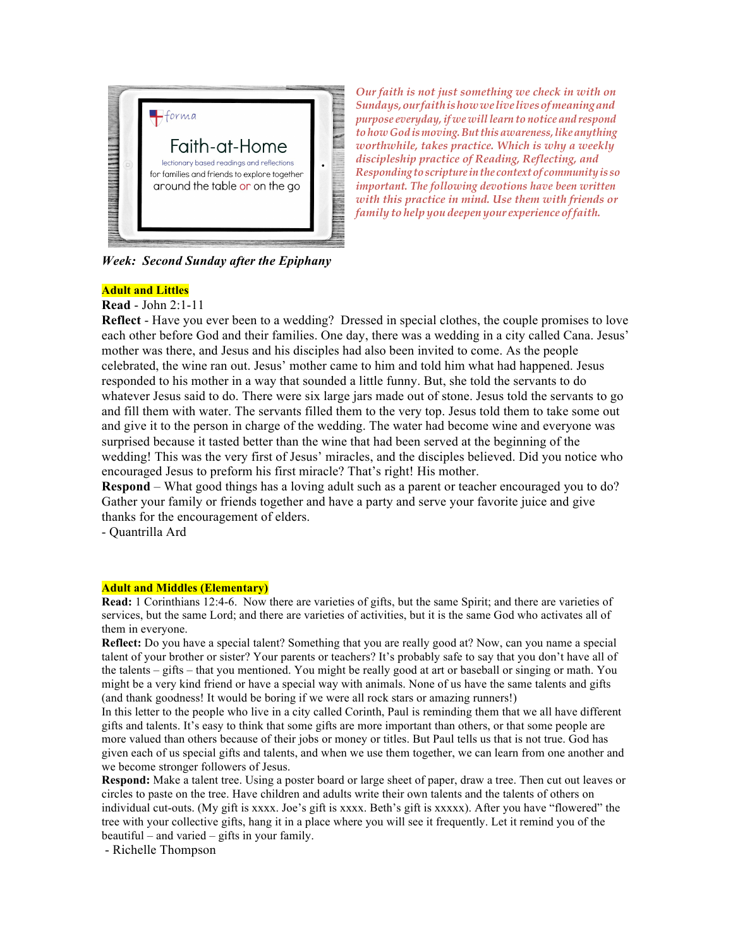

*Week: Second Sunday after the Epiphany* 

*Our faith is not just something we check in with on Sundays,ourfaithishowwelivelivesofmeaningand purpose everyday,if we willlearn to notice and respond tohow God ismoving.Butthisawareness,likeanything worthwhile, takes practice. Which is why a weekly discipleship practice of Reading, Reflecting, and Responding toscripture inthe contextof communityis so important. The following devotions have been written with this practice in mind. Use them with friends or family to help you deepen your experience offaith.*

**Adult and Littles**

**Read** - John 2:1-11

**Reflect** - Have you ever been to a wedding? Dressed in special clothes, the couple promises to love each other before God and their families. One day, there was a wedding in a city called Cana. Jesus' mother was there, and Jesus and his disciples had also been invited to come. As the people celebrated, the wine ran out. Jesus' mother came to him and told him what had happened. Jesus responded to his mother in a way that sounded a little funny. But, she told the servants to do whatever Jesus said to do. There were six large jars made out of stone. Jesus told the servants to go and fill them with water. The servants filled them to the very top. Jesus told them to take some out and give it to the person in charge of the wedding. The water had become wine and everyone was surprised because it tasted better than the wine that had been served at the beginning of the wedding! This was the very first of Jesus' miracles, and the disciples believed. Did you notice who encouraged Jesus to preform his first miracle? That's right! His mother.

**Respond** – What good things has a loving adult such as a parent or teacher encouraged you to do? Gather your family or friends together and have a party and serve your favorite juice and give thanks for the encouragement of elders.

- Quantrilla Ard

## **Adult and Middles (Elementary)**

**Read:** 1 Corinthians 12:4-6. Now there are varieties of gifts, but the same Spirit; and there are varieties of services, but the same Lord; and there are varieties of activities, but it is the same God who activates all of them in everyone.

**Reflect:** Do you have a special talent? Something that you are really good at? Now, can you name a special talent of your brother or sister? Your parents or teachers? It's probably safe to say that you don't have all of the talents – gifts – that you mentioned. You might be really good at art or baseball or singing or math. You might be a very kind friend or have a special way with animals. None of us have the same talents and gifts (and thank goodness! It would be boring if we were all rock stars or amazing runners!)

In this letter to the people who live in a city called Corinth, Paul is reminding them that we all have different gifts and talents. It's easy to think that some gifts are more important than others, or that some people are more valued than others because of their jobs or money or titles. But Paul tells us that is not true. God has given each of us special gifts and talents, and when we use them together, we can learn from one another and we become stronger followers of Jesus.

**Respond:** Make a talent tree. Using a poster board or large sheet of paper, draw a tree. Then cut out leaves or circles to paste on the tree. Have children and adults write their own talents and the talents of others on individual cut-outs. (My gift is xxxx. Joe's gift is xxxx. Beth's gift is xxxxx). After you have "flowered" the tree with your collective gifts, hang it in a place where you will see it frequently. Let it remind you of the beautiful – and varied – gifts in your family.

- Richelle Thompson